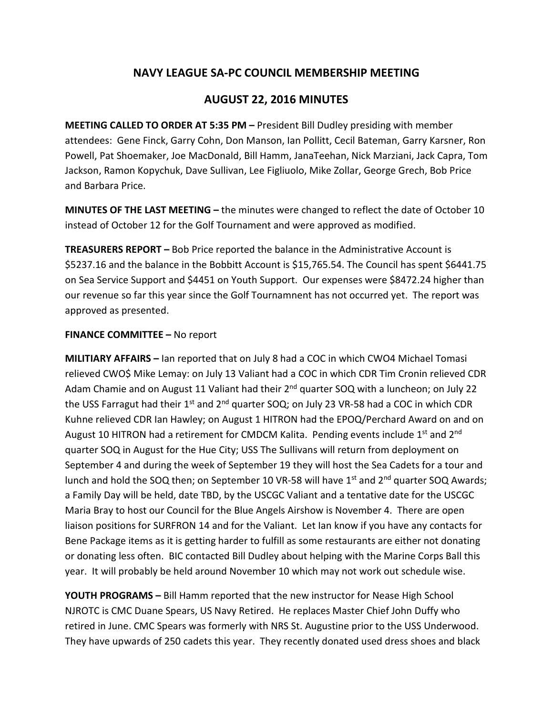## **NAVY LEAGUE SA-PC COUNCIL MEMBERSHIP MEETING**

## **AUGUST 22, 2016 MINUTES**

**MEETING CALLED TO ORDER AT 5:35 PM –** President Bill Dudley presiding with member attendees: Gene Finck, Garry Cohn, Don Manson, Ian Pollitt, Cecil Bateman, Garry Karsner, Ron Powell, Pat Shoemaker, Joe MacDonald, Bill Hamm, JanaTeehan, Nick Marziani, Jack Capra, Tom Jackson, Ramon Kopychuk, Dave Sullivan, Lee Figliuolo, Mike Zollar, George Grech, Bob Price and Barbara Price.

**MINUTES OF THE LAST MEETING –** the minutes were changed to reflect the date of October 10 instead of October 12 for the Golf Tournament and were approved as modified.

**TREASURERS REPORT –** Bob Price reported the balance in the Administrative Account is \$5237.16 and the balance in the Bobbitt Account is \$15,765.54. The Council has spent \$6441.75 on Sea Service Support and \$4451 on Youth Support. Our expenses were \$8472.24 higher than our revenue so far this year since the Golf Tournamnent has not occurred yet. The report was approved as presented.

## **FINANCE COMMITTEE –** No report

**MILITIARY AFFAIRS –** Ian reported that on July 8 had a COC in which CWO4 Michael Tomasi relieved CWO\$ Mike Lemay: on July 13 Valiant had a COC in which CDR Tim Cronin relieved CDR Adam Chamie and on August 11 Valiant had their 2<sup>nd</sup> quarter SOQ with a luncheon; on July 22 the USS Farragut had their  $1<sup>st</sup>$  and  $2<sup>nd</sup>$  quarter SOQ; on July 23 VR-58 had a COC in which CDR Kuhne relieved CDR Ian Hawley; on August 1 HITRON had the EPOQ/Perchard Award on and on August 10 HITRON had a retirement for CMDCM Kalita. Pending events include  $1<sup>st</sup>$  and  $2<sup>nd</sup>$ quarter SOQ in August for the Hue City; USS The Sullivans will return from deployment on September 4 and during the week of September 19 they will host the Sea Cadets for a tour and lunch and hold the SOQ then; on September 10 VR-58 will have  $1<sup>st</sup>$  and  $2<sup>nd</sup>$  quarter SOQ Awards; a Family Day will be held, date TBD, by the USCGC Valiant and a tentative date for the USCGC Maria Bray to host our Council for the Blue Angels Airshow is November 4. There are open liaison positions for SURFRON 14 and for the Valiant. Let Ian know if you have any contacts for Bene Package items as it is getting harder to fulfill as some restaurants are either not donating or donating less often. BIC contacted Bill Dudley about helping with the Marine Corps Ball this year. It will probably be held around November 10 which may not work out schedule wise.

**YOUTH PROGRAMS –** Bill Hamm reported that the new instructor for Nease High School NJROTC is CMC Duane Spears, US Navy Retired. He replaces Master Chief John Duffy who retired in June. CMC Spears was formerly with NRS St. Augustine prior to the USS Underwood. They have upwards of 250 cadets this year. They recently donated used dress shoes and black